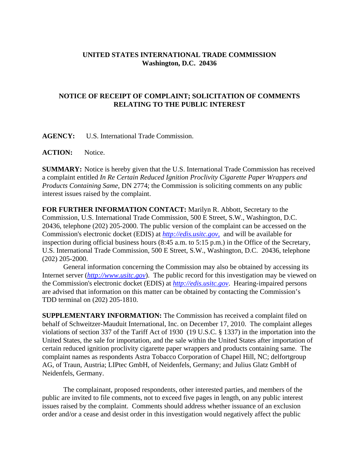## **UNITED STATES INTERNATIONAL TRADE COMMISSION Washington, D.C. 20436**

## **NOTICE OF RECEIPT OF COMPLAINT; SOLICITATION OF COMMENTS RELATING TO THE PUBLIC INTEREST**

**AGENCY:** U.S. International Trade Commission.

**ACTION:** Notice.

**SUMMARY:** Notice is hereby given that the U.S. International Trade Commission has received a complaint entitled *In Re Certain Reduced Ignition Proclivity Cigarette Paper Wrappers and Products Containing Same*, DN 2774; the Commission is soliciting comments on any public interest issues raised by the complaint.

**FOR FURTHER INFORMATION CONTACT:** Marilyn R. Abbott, Secretary to the Commission, U.S. International Trade Commission, 500 E Street, S.W., Washington, D.C. 20436, telephone (202) 205-2000. The public version of the complaint can be accessed on the Commission's electronic docket (EDIS) at *http://edis.usitc.gov*, and will be available for inspection during official business hours (8:45 a.m. to 5:15 p.m.) in the Office of the Secretary, U.S. International Trade Commission, 500 E Street, S.W., Washington, D.C. 20436, telephone (202) 205-2000.

General information concerning the Commission may also be obtained by accessing its Internet server (*http://www.usitc.gov*). The public record for this investigation may be viewed on the Commission's electronic docket (EDIS) at *http://edis.usitc.gov*. Hearing-impaired persons are advised that information on this matter can be obtained by contacting the Commission's TDD terminal on (202) 205-1810.

**SUPPLEMENTARY INFORMATION:** The Commission has received a complaint filed on behalf of Schweitzer-Mauduit International, Inc. on December 17, 2010. The complaint alleges violations of section 337 of the Tariff Act of 1930 (19 U.S.C. § 1337) in the importation into the United States, the sale for importation, and the sale within the United States after importation of certain reduced ignition proclivity cigarette paper wrappers and products containing same. The complaint names as respondents Astra Tobacco Corporation of Chapel Hill, NC; delfortgroup AG, of Traun, Austria; LIPtec GmbH, of Neidenfels, Germany; and Julius Glatz GmbH of Neidenfels, Germany.

The complainant, proposed respondents, other interested parties, and members of the public are invited to file comments, not to exceed five pages in length, on any public interest issues raised by the complaint. Comments should address whether issuance of an exclusion order and/or a cease and desist order in this investigation would negatively affect the public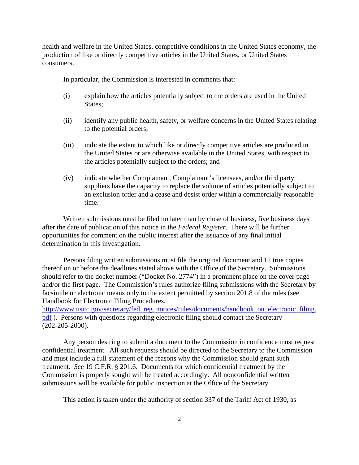health and welfare in the United States, competitive conditions in the United States economy, the production of like or directly competitive articles in the United States, or United States consumers.

In particular, the Commission is interested in comments that:

- (i) explain how the articles potentially subject to the orders are used in the United States;
- (ii) identify any public health, safety, or welfare concerns in the United States relating to the potential orders;
- (iii) indicate the extent to which like or directly competitive articles are produced in the United States or are otherwise available in the United States, with respect to the articles potentially subject to the orders; and
- (iv) indicate whether Complainant, Complainant's licensees, and/or third party suppliers have the capacity to replace the volume of articles potentially subject to an exclusion order and a cease and desist order within a commercially reasonable time.

Written submissions must be filed no later than by close of business, five business days after the date of publication of this notice in the *Federal Register*. There will be further opportunities for comment on the public interest after the issuance of any final initial determination in this investigation.

Persons filing written submissions must file the original document and 12 true copies thereof on or before the deadlines stated above with the Office of the Secretary. Submissions should refer to the docket number ("Docket No. 2774") in a prominent place on the cover page and/or the first page. The Commission's rules authorize filing submissions with the Secretary by facsimile or electronic means only to the extent permitted by section 201.8 of the rules (see Handbook for Electronic Filing Procedures,

http://www.usitc.gov/secretary/fed\_reg\_notices/rules/documents/handbook\_on\_electronic\_filing. pdf ). Persons with questions regarding electronic filing should contact the Secretary (202-205-2000).

Any person desiring to submit a document to the Commission in confidence must request confidential treatment. All such requests should be directed to the Secretary to the Commission and must include a full statement of the reasons why the Commission should grant such treatment. *See* 19 C.F.R. § 201.6. Documents for which confidential treatment by the Commission is properly sought will be treated accordingly. All nonconfidential written submissions will be available for public inspection at the Office of the Secretary.

This action is taken under the authority of section 337 of the Tariff Act of 1930, as